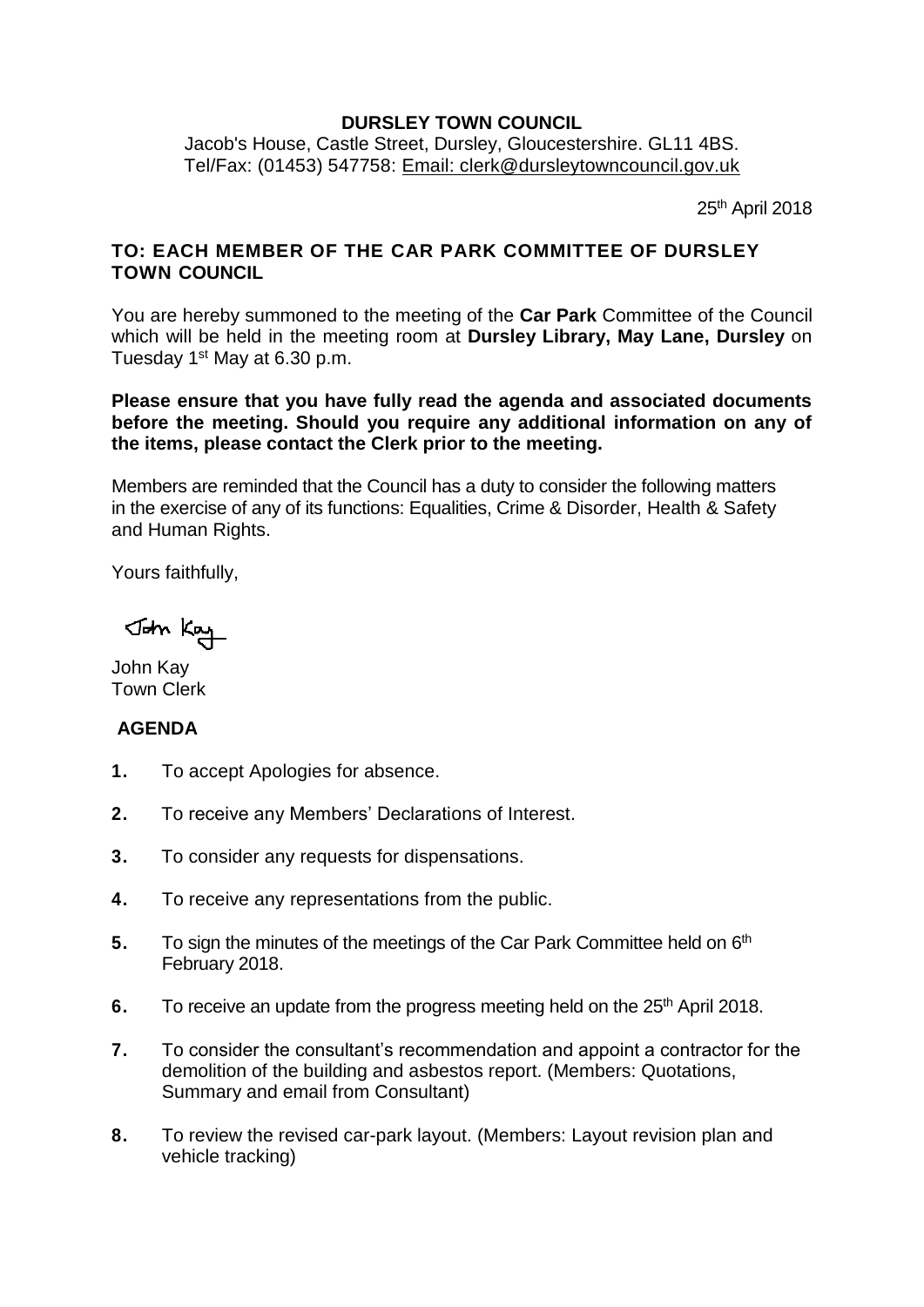## **DURSLEY TOWN COUNCIL**

Jacob's House, Castle Street, Dursley, Gloucestershire. GL11 4BS. Tel/Fax: (01453) 547758: [Email: clerk@dursleytowncouncil.gov.uk](mailto:clerk@dursleytowncouncil.gov.uk)

25th April 2018

## **TO: EACH MEMBER OF THE CAR PARK COMMITTEE OF DURSLEY TOWN COUNCIL**

You are hereby summoned to the meeting of the **Car Park** Committee of the Council which will be held in the meeting room at **Dursley Library, May Lane, Dursley** on Tuesday 1st May at 6.30 p.m.

**Please ensure that you have fully read the agenda and associated documents before the meeting. Should you require any additional information on any of the items, please contact the Clerk prior to the meeting.** 

Members are reminded that the Council has a duty to consider the following matters in the exercise of any of its functions: Equalities, Crime & Disorder, Health & Safety and Human Rights.

Yours faithfully,

John Kay

John Kay Town Clerk

## **AGENDA**

- **1.** To accept Apologies for absence.
- **2.** To receive any Members' Declarations of Interest.
- **3.** To consider any requests for dispensations.
- **4.** To receive any representations from the public.
- 5. To sign the minutes of the meetings of the Car Park Committee held on 6<sup>th</sup> February 2018.
- **6.** To receive an update from the progress meeting held on the 25<sup>th</sup> April 2018.
- **7.** To consider the consultant's recommendation and appoint a contractor for the demolition of the building and asbestos report. (Members: Quotations, Summary and email from Consultant)
- **8.** To review the revised car-park layout. (Members: Layout revision plan and vehicle tracking)